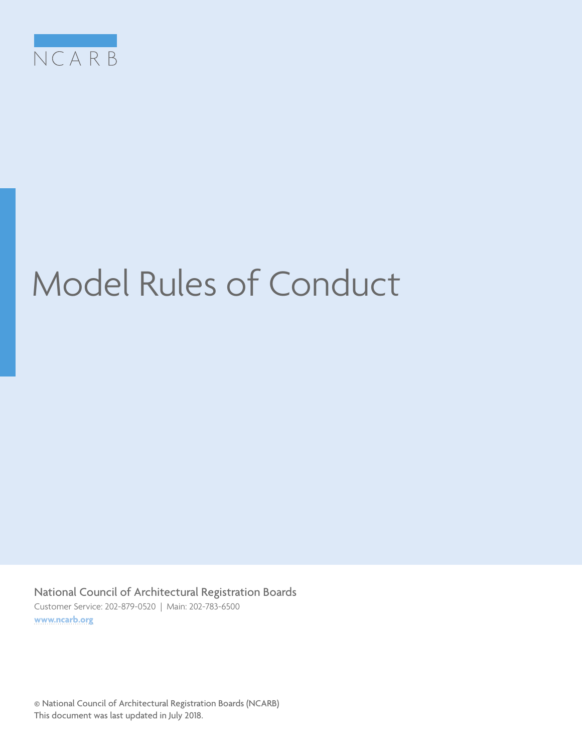

# Model Rules of Conduct

National Council of Architectural Registration Boards Customer Service: 202-879-0520 | Main: 202-783-6500 **[www.ncarb.org](http://www.ncarb.org)**

© National Council of Architectural Registration Boards (NCARB) This document was last updated in July 2018.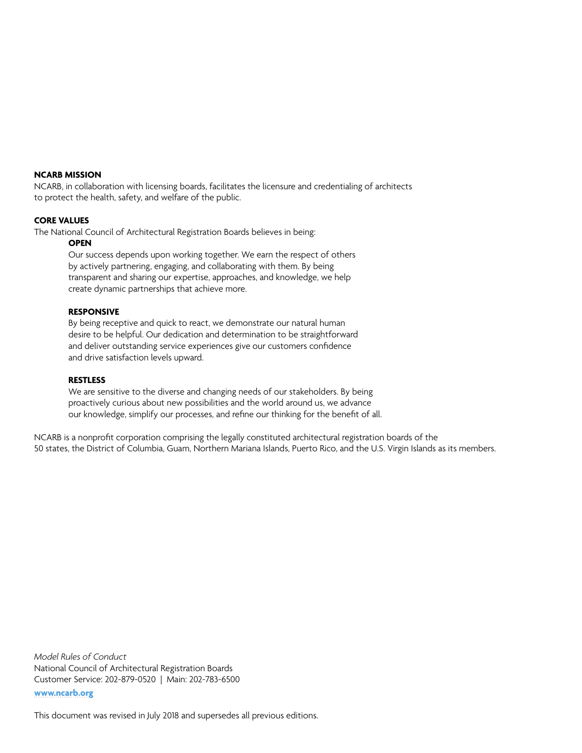### **NCARB MISSION**

NCARB, in collaboration with licensing boards, facilitates the licensure and credentialing of architects to protect the health, safety, and welfare of the public.

### **CORE VALUES**

The National Council of Architectural Registration Boards believes in being:

#### **OPEN**

 Our success depends upon working together. We earn the respect of others by actively partnering, engaging, and collaborating with them. By being transparent and sharing our expertise, approaches, and knowledge, we help create dynamic partnerships that achieve more.

#### **RESPONSIVE**

 By being receptive and quick to react, we demonstrate our natural human desire to be helpful. Our dedication and determination to be straightforward and deliver outstanding service experiences give our customers confidence and drive satisfaction levels upward.

#### **RESTLESS**

 We are sensitive to the diverse and changing needs of our stakeholders. By being proactively curious about new possibilities and the world around us, we advance our knowledge, simplify our processes, and refine our thinking for the benefit of all.

NCARB is a nonprofit corporation comprising the legally constituted architectural registration boards of the 50 states, the District of Columbia, Guam, Northern Mariana Islands, Puerto Rico, and the U.S. Virgin Islands as its members.

*Model Rules of Conduct* National Council of Architectural Registration Boards Customer Service: 202-879-0520 | Main: 202-783-6500 **[www.ncarb.org](http://www.ncarb.org)**

This document was revised in July 2018 and supersedes all previous editions.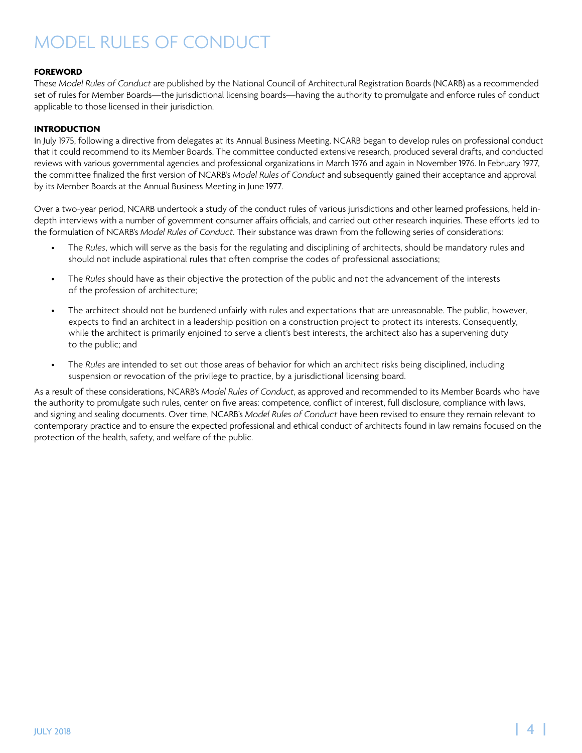### <span id="page-3-0"></span>**FOREWORD**

These *Model Rules of Conduct* are published by the National Council of Architectural Registration Boards (NCARB) as a recommended set of rules for Member Boards—the jurisdictional licensing boards—having the authority to promulgate and enforce rules of conduct applicable to those licensed in their jurisdiction.

### **INTRODUCTION**

In July 1975, following a directive from delegates at its Annual Business Meeting, NCARB began to develop rules on professional conduct that it could recommend to its Member Boards. The committee conducted extensive research, produced several drafts, and conducted reviews with various governmental agencies and professional organizations in March 1976 and again in November 1976. In February 1977, the committee finalized the first version of NCARB's *Model Rules of Conduct* and subsequently gained their acceptance and approval by its Member Boards at the Annual Business Meeting in June 1977.

Over a two-year period, NCARB undertook a study of the conduct rules of various jurisdictions and other learned professions, held indepth interviews with a number of government consumer affairs officials, and carried out other research inquiries. These efforts led to the formulation of NCARB's *Model Rules of Conduct*. Their substance was drawn from the following series of considerations:

- The *Rules*, which will serve as the basis for the regulating and disciplining of architects, should be mandatory rules and should not include aspirational rules that often comprise the codes of professional associations;
- The *Rules* should have as their objective the protection of the public and not the advancement of the interests of the profession of architecture;
- The architect should not be burdened unfairly with rules and expectations that are unreasonable. The public, however, expects to find an architect in a leadership position on a construction project to protect its interests. Consequently, while the architect is primarily enjoined to serve a client's best interests, the architect also has a supervening duty to the public; and
- The *Rules* are intended to set out those areas of behavior for which an architect risks being disciplined, including suspension or revocation of the privilege to practice, by a jurisdictional licensing board.

As a result of these considerations, NCARB's *Model Rules of Conduct*, as approved and recommended to its Member Boards who have the authority to promulgate such rules, center on five areas: competence, conflict of interest, full disclosure, compliance with laws, and signing and sealing documents. Over time, NCARB's *Model Rules of Conduct* have been revised to ensure they remain relevant to contemporary practice and to ensure the expected professional and ethical conduct of architects found in law remains focused on the protection of the health, safety, and welfare of the public.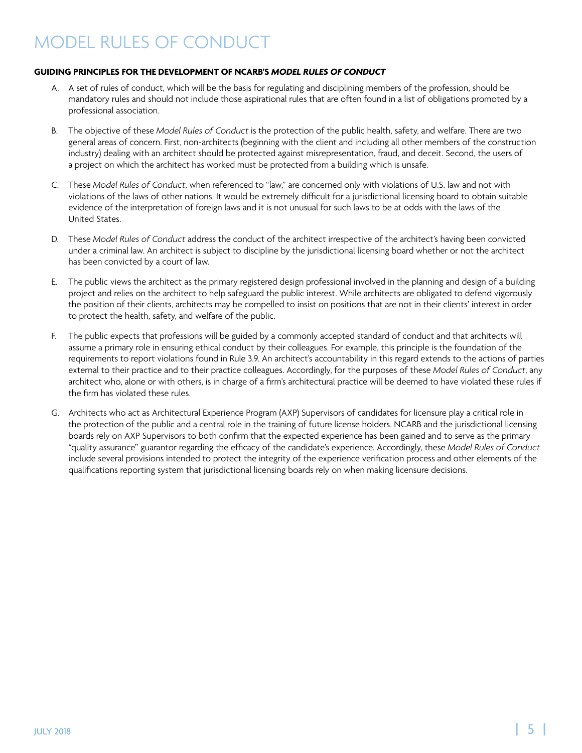### <span id="page-4-0"></span>**GUIDING PRINCIPLES FOR THE DEVELOPMENT OF NCARB'S** *MODEL RULES OF CONDUCT*

- A. A set of rules of conduct, which will be the basis for regulating and disciplining members of the profession, should be mandatory rules and should not include those aspirational rules that are often found in a list of obligations promoted by a professional association.
- B. The objective of these *Model Rules of Conduct* is the protection of the public health, safety, and welfare. There are two general areas of concern. First, non-architects (beginning with the client and including all other members of the construction industry) dealing with an architect should be protected against misrepresentation, fraud, and deceit. Second, the users of a project on which the architect has worked must be protected from a building which is unsafe.
- C. These *Model Rules of Conduct*, when referenced to "law," are concerned only with violations of U.S. law and not with violations of the laws of other nations. It would be extremely difficult for a jurisdictional licensing board to obtain suitable evidence of the interpretation of foreign laws and it is not unusual for such laws to be at odds with the laws of the United States.
- D. These *Model Rules of Conduct* address the conduct of the architect irrespective of the architect's having been convicted under a criminal law. An architect is subject to discipline by the jurisdictional licensing board whether or not the architect has been convicted by a court of law.
- E. The public views the architect as the primary registered design professional involved in the planning and design of a building project and relies on the architect to help safeguard the public interest. While architects are obligated to defend vigorously the position of their clients, architects may be compelled to insist on positions that are not in their clients' interest in order to protect the health, safety, and welfare of the public.
- F. The public expects that professions will be guided by a commonly accepted standard of conduct and that architects will assume a primary role in ensuring ethical conduct by their colleagues. For example, this principle is the foundation of the requirements to report violations found in Rule 3.9. An architect's accountability in this regard extends to the actions of parties external to their practice and to their practice colleagues. Accordingly, for the purposes of these *Model Rules of Conduct*, any architect who, alone or with others, is in charge of a firm's architectural practice will be deemed to have violated these rules if the firm has violated these rules.
- G. Architects who act as Architectural Experience Program (AXP) Supervisors of candidates for licensure play a critical role in the protection of the public and a central role in the training of future license holders. NCARB and the jurisdictional licensing boards rely on AXP Supervisors to both confirm that the expected experience has been gained and to serve as the primary "quality assurance" guarantor regarding the efficacy of the candidate's experience. Accordingly, these *Model Rules of Conduct* include several provisions intended to protect the integrity of the experience verification process and other elements of the qualifications reporting system that jurisdictional licensing boards rely on when making licensure decisions.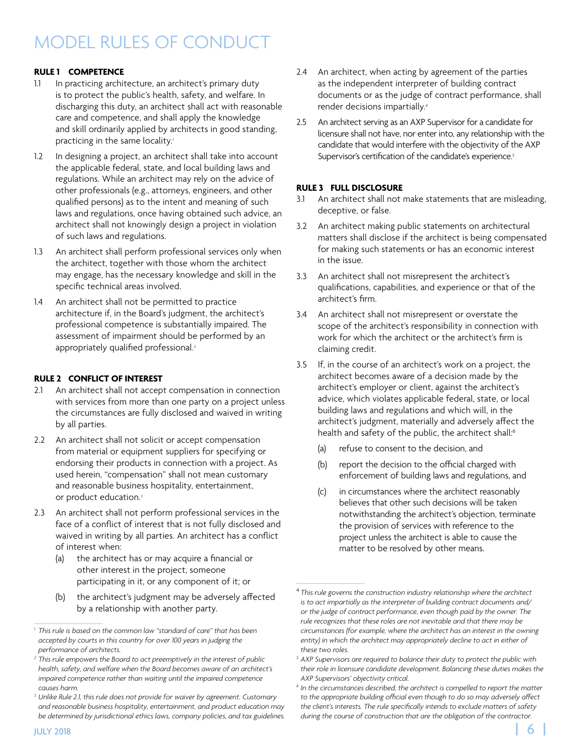### <span id="page-5-0"></span>**RULE 1 COMPETENCE**

- 1.1 In practicing architecture, an architect's primary duty is to protect the public's health, safety, and welfare. In discharging this duty, an architect shall act with reasonable care and competence, and shall apply the knowledge and skill ordinarily applied by architects in good standing, practicing in the same locality.*<sup>1</sup>*
- 1.2 In designing a project, an architect shall take into account the applicable federal, state, and local building laws and regulations. While an architect may rely on the advice of other professionals (e.g., attorneys, engineers, and other qualified persons) as to the intent and meaning of such laws and regulations, once having obtained such advice, an architect shall not knowingly design a project in violation of such laws and regulations.
- 1.3 An architect shall perform professional services only when the architect, together with those whom the architect may engage, has the necessary knowledge and skill in the specific technical areas involved.
- 1.4 An architect shall not be permitted to practice architecture if, in the Board's judgment, the architect's professional competence is substantially impaired. The assessment of impairment should be performed by an appropriately qualified professional.*<sup>2</sup>*

### **RULE 2 CONFLICT OF INTEREST**

- 2.1 An architect shall not accept compensation in connection with services from more than one party on a project unless the circumstances are fully disclosed and waived in writing by all parties.
- 2.2 An architect shall not solicit or accept compensation from material or equipment suppliers for specifying or endorsing their products in connection with a project. As used herein, "compensation" shall not mean customary and reasonable business hospitality, entertainment, or product education.*<sup>3</sup>*
- 2.3 An architect shall not perform professional services in the face of a conflict of interest that is not fully disclosed and waived in writing by all parties. An architect has a conflict of interest when:
	- (a) the architect has or may acquire a financial or other interest in the project, someone participating in it, or any component of it; or
	- (b) the architect's judgment may be adversely affected by a relationship with another party.
- 2.4 An architect, when acting by agreement of the parties as the independent interpreter of building contract documents or as the judge of contract performance, shall render decisions impartially.*<sup>4</sup>*
- 2.5 An architect serving as an AXP Supervisor for a candidate for licensure shall not have, nor enter into, any relationship with the candidate that would interfere with the objectivity of the AXP Supervisor's certification of the candidate's experience.*<sup>5</sup>*

### **RULE 3 FULL DISCLOSURE**

- 3.1 An architect shall not make statements that are misleading, deceptive, or false.
- 3.2 An architect making public statements on architectural matters shall disclose if the architect is being compensated for making such statements or has an economic interest in the issue.
- 3.3 An architect shall not misrepresent the architect's qualifications, capabilities, and experience or that of the architect's firm.
- 3.4 An architect shall not misrepresent or overstate the scope of the architect's responsibility in connection with work for which the architect or the architect's firm is claiming credit.
- 3.5 If, in the course of an architect's work on a project, the architect becomes aware of a decision made by the architect's employer or client, against the architect's advice, which violates applicable federal, state, or local building laws and regulations and which will, in the architect's judgment, materially and adversely affect the health and safety of the public, the architect shall:<sup>6</sup>
	- (a) refuse to consent to the decision, and
	- (b) report the decision to the official charged with enforcement of building laws and regulations, and
	- (c) in circumstances where the architect reasonably believes that other such decisions will be taken notwithstanding the architect's objection, terminate the provision of services with reference to the project unless the architect is able to cause the matter to be resolved by other means.

*<sup>1</sup> This rule is based on the common law "standard of care" that has been accepted by courts in this country for over 100 years in judging the performance of architects.*

*<sup>2</sup> This rule empowers the Board to act preemptively in the interest of public health, safety, and welfare when the Board becomes aware of an architect's impaired competence rather than waiting until the impaired competence causes harm.*

*<sup>3</sup> Unlike Rule 2.1, this rule does not provide for waiver by agreement. Customary and reasonable business hospitality, entertainment, and product education may be determined by jurisdictional ethics laws, company policies, and tax guidelines.*

<sup>4</sup> *This rule governs the construction industry relationship where the architect is to act impartially as the interpreter of building contract documents and/ or the judge of contract performance, even though paid by the owner. The rule recognizes that these roles are not inevitable and that there may be circumstances (for example, where the architect has an interest in the owning*  entity) in which the architect may appropriately decline to act in either of *these two roles.*

*<sup>5</sup> AXP Supervisors are required to balance their duty to protect the public with their role in licensure candidate development. Balancing these duties makes the AXP Supervisors' objectivity critical.*

De determined by jurisdictional ethics laws, company policies, and tax guidelines. Unling the course of construction that are the obligation of the contractor. *<sup>6</sup> In the circumstances described, the architect is compelled to report the matter to the appropriate building official even though to do so may adversely affect the client's interests. The rule specifically intends to exclude matters of safety during the course of construction that are the obligation of the contractor.*